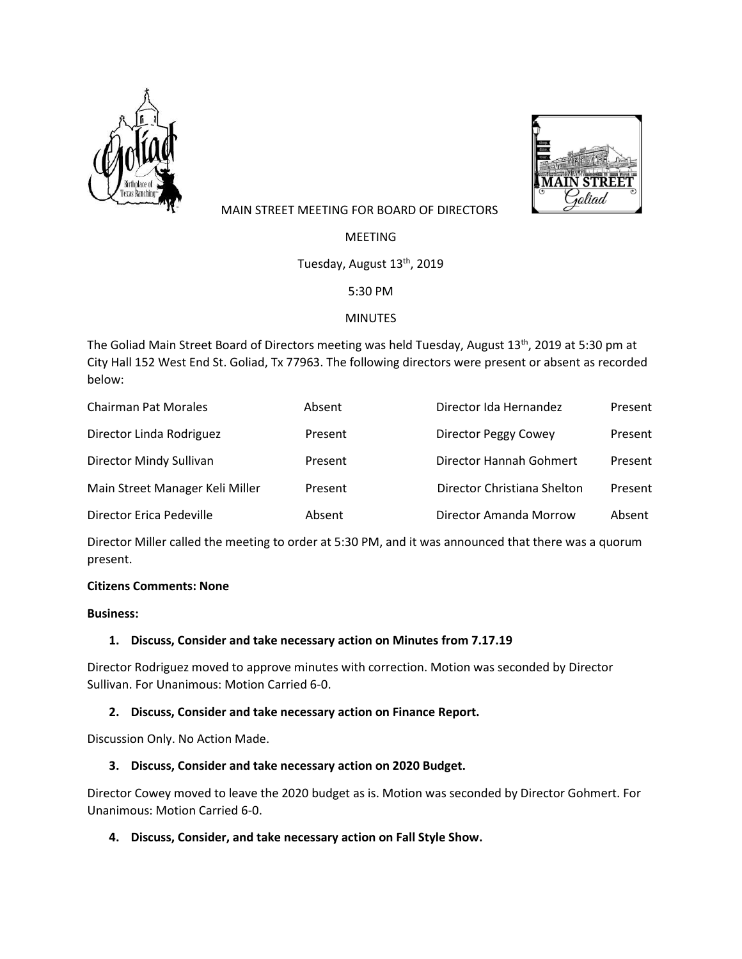



# MAIN STREET MEETING FOR BOARD OF DIRECTORS

MEETING

Tuesday, August 13<sup>th</sup>, 2019

5:30 PM

## MINUTES

The Goliad Main Street Board of Directors meeting was held Tuesday, August 13<sup>th</sup>, 2019 at 5:30 pm at City Hall 152 West End St. Goliad, Tx 77963. The following directors were present or absent as recorded below:

| <b>Chairman Pat Morales</b>     | Absent  | Director Ida Hernandez      | Present |
|---------------------------------|---------|-----------------------------|---------|
| Director Linda Rodriguez        | Present | <b>Director Peggy Cowey</b> | Present |
| Director Mindy Sullivan         | Present | Director Hannah Gohmert     | Present |
| Main Street Manager Keli Miller | Present | Director Christiana Shelton | Present |
| Director Erica Pedeville        | Absent  | Director Amanda Morrow      | Absent  |

Director Miller called the meeting to order at 5:30 PM, and it was announced that there was a quorum present.

## **Citizens Comments: None**

#### **Business:**

## **1. Discuss, Consider and take necessary action on Minutes from 7.17.19**

Director Rodriguez moved to approve minutes with correction. Motion was seconded by Director Sullivan. For Unanimous: Motion Carried 6-0.

## **2. Discuss, Consider and take necessary action on Finance Report.**

Discussion Only. No Action Made.

## **3. Discuss, Consider and take necessary action on 2020 Budget.**

Director Cowey moved to leave the 2020 budget as is. Motion was seconded by Director Gohmert. For Unanimous: Motion Carried 6-0.

## **4. Discuss, Consider, and take necessary action on Fall Style Show.**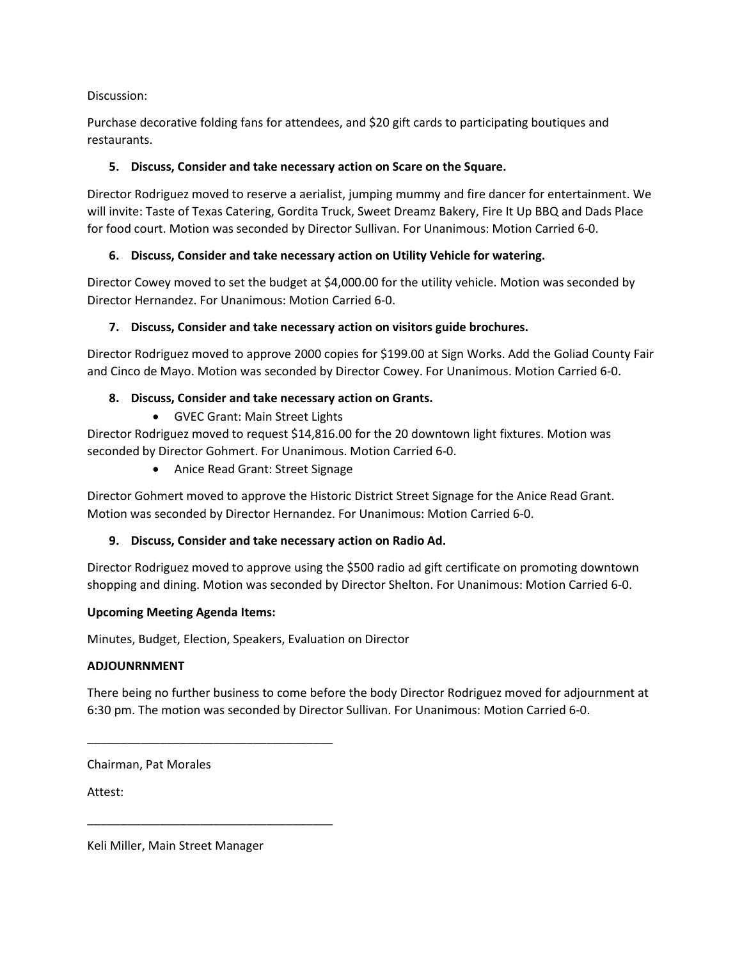## Discussion:

Purchase decorative folding fans for attendees, and \$20 gift cards to participating boutiques and restaurants.

#### **5. Discuss, Consider and take necessary action on Scare on the Square.**

Director Rodriguez moved to reserve a aerialist, jumping mummy and fire dancer for entertainment. We will invite: Taste of Texas Catering, Gordita Truck, Sweet Dreamz Bakery, Fire It Up BBQ and Dads Place for food court. Motion was seconded by Director Sullivan. For Unanimous: Motion Carried 6-0.

#### **6. Discuss, Consider and take necessary action on Utility Vehicle for watering.**

Director Cowey moved to set the budget at \$4,000.00 for the utility vehicle. Motion was seconded by Director Hernandez. For Unanimous: Motion Carried 6-0.

#### **7. Discuss, Consider and take necessary action on visitors guide brochures.**

Director Rodriguez moved to approve 2000 copies for \$199.00 at Sign Works. Add the Goliad County Fair and Cinco de Mayo. Motion was seconded by Director Cowey. For Unanimous. Motion Carried 6-0.

#### **8. Discuss, Consider and take necessary action on Grants.**

• GVEC Grant: Main Street Lights

Director Rodriguez moved to request \$14,816.00 for the 20 downtown light fixtures. Motion was seconded by Director Gohmert. For Unanimous. Motion Carried 6-0.

• Anice Read Grant: Street Signage

Director Gohmert moved to approve the Historic District Street Signage for the Anice Read Grant. Motion was seconded by Director Hernandez. For Unanimous: Motion Carried 6-0.

## **9. Discuss, Consider and take necessary action on Radio Ad.**

Director Rodriguez moved to approve using the \$500 radio ad gift certificate on promoting downtown shopping and dining. Motion was seconded by Director Shelton. For Unanimous: Motion Carried 6-0.

#### **Upcoming Meeting Agenda Items:**

\_\_\_\_\_\_\_\_\_\_\_\_\_\_\_\_\_\_\_\_\_\_\_\_\_\_\_\_\_\_\_\_\_\_\_\_\_

\_\_\_\_\_\_\_\_\_\_\_\_\_\_\_\_\_\_\_\_\_\_\_\_\_\_\_\_\_\_\_\_\_\_\_\_\_

Minutes, Budget, Election, Speakers, Evaluation on Director

#### **ADJOUNRNMENT**

There being no further business to come before the body Director Rodriguez moved for adjournment at 6:30 pm. The motion was seconded by Director Sullivan. For Unanimous: Motion Carried 6-0.

Chairman, Pat Morales

Attest:

Keli Miller, Main Street Manager